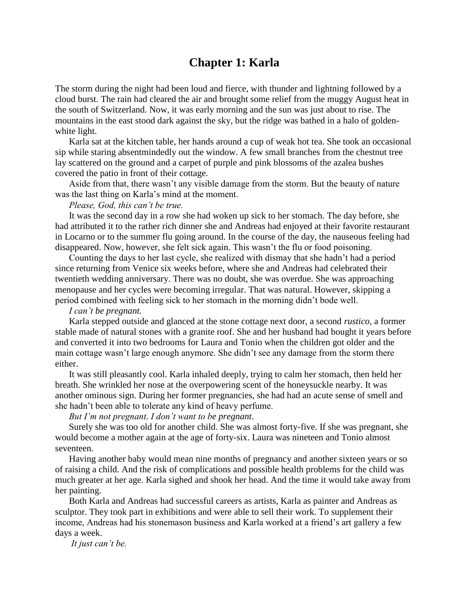## **Chapter 1: Karla**

The storm during the night had been loud and fierce, with thunder and lightning followed by a cloud burst. The rain had cleared the air and brought some relief from the muggy August heat in the south of Switzerland. Now, it was early morning and the sun was just about to rise. The mountains in the east stood dark against the sky, but the ridge was bathed in a halo of goldenwhite light.

Karla sat at the kitchen table, her hands around a cup of weak hot tea. She took an occasional sip while staring absentmindedly out the window. A few small branches from the chestnut tree lay scattered on the ground and a carpet of purple and pink blossoms of the azalea bushes covered the patio in front of their cottage.

Aside from that, there wasn't any visible damage from the storm. But the beauty of nature was the last thing on Karla's mind at the moment.

## *Please, God, this can't be true.*

It was the second day in a row she had woken up sick to her stomach. The day before, she had attributed it to the rather rich dinner she and Andreas had enjoyed at their favorite restaurant in Locarno or to the summer flu going around. In the course of the day, the nauseous feeling had disappeared. Now, however, she felt sick again. This wasn't the flu or food poisoning.

Counting the days to her last cycle, she realized with dismay that she hadn't had a period since returning from Venice six weeks before, where she and Andreas had celebrated their twentieth wedding anniversary. There was no doubt, she was overdue. She was approaching menopause and her cycles were becoming irregular. That was natural. However, skipping a period combined with feeling sick to her stomach in the morning didn't bode well.

## *I can't be pregnant.*

Karla stepped outside and glanced at the stone cottage next door, a second *rustico*, a former stable made of natural stones with a granite roof. She and her husband had bought it years before and converted it into two bedrooms for Laura and Tonio when the children got older and the main cottage wasn't large enough anymore. She didn't see any damage from the storm there either.

It was still pleasantly cool. Karla inhaled deeply, trying to calm her stomach, then held her breath. She wrinkled her nose at the overpowering scent of the honeysuckle nearby. It was another ominous sign. During her former pregnancies, she had had an acute sense of smell and she hadn't been able to tolerate any kind of heavy perfume.

## *But I'm not pregnant*. *I don't want to be pregnant*.

Surely she was too old for another child. She was almost forty-five. If she was pregnant, she would become a mother again at the age of forty-six. Laura was nineteen and Tonio almost seventeen.

Having another baby would mean nine months of pregnancy and another sixteen years or so of raising a child. And the risk of complications and possible health problems for the child was much greater at her age. Karla sighed and shook her head. And the time it would take away from her painting.

Both Karla and Andreas had successful careers as artists, Karla as painter and Andreas as sculptor. They took part in exhibitions and were able to sell their work. To supplement their income, Andreas had his stonemason business and Karla worked at a friend's art gallery a few days a week.

*It just can't be.*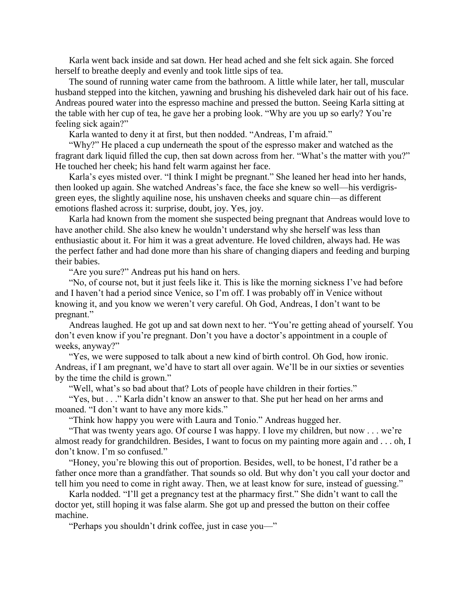Karla went back inside and sat down. Her head ached and she felt sick again. She forced herself to breathe deeply and evenly and took little sips of tea.

The sound of running water came from the bathroom. A little while later, her tall, muscular husband stepped into the kitchen, yawning and brushing his disheveled dark hair out of his face. Andreas poured water into the espresso machine and pressed the button. Seeing Karla sitting at the table with her cup of tea, he gave her a probing look. "Why are you up so early? You're feeling sick again?"

Karla wanted to deny it at first, but then nodded. "Andreas, I'm afraid."

"Why?" He placed a cup underneath the spout of the espresso maker and watched as the fragrant dark liquid filled the cup, then sat down across from her. "What's the matter with you?" He touched her cheek; his hand felt warm against her face.

Karla's eyes misted over. "I think I might be pregnant." She leaned her head into her hands, then looked up again. She watched Andreas's face, the face she knew so well—his verdigrisgreen eyes, the slightly aquiline nose, his unshaven cheeks and square chin—as different emotions flashed across it: surprise, doubt, joy. Yes, joy.

Karla had known from the moment she suspected being pregnant that Andreas would love to have another child. She also knew he wouldn't understand why she herself was less than enthusiastic about it. For him it was a great adventure. He loved children, always had. He was the perfect father and had done more than his share of changing diapers and feeding and burping their babies.

"Are you sure?" Andreas put his hand on hers.

"No, of course not, but it just feels like it. This is like the morning sickness I've had before and I haven't had a period since Venice, so I'm off. I was probably off in Venice without knowing it, and you know we weren't very careful. Oh God, Andreas, I don't want to be pregnant."

Andreas laughed. He got up and sat down next to her. "You're getting ahead of yourself. You don't even know if you're pregnant. Don't you have a doctor's appointment in a couple of weeks, anyway?"

"Yes, we were supposed to talk about a new kind of birth control. Oh God, how ironic. Andreas, if I am pregnant, we'd have to start all over again. We'll be in our sixties or seventies by the time the child is grown."

"Well, what's so bad about that? Lots of people have children in their forties."

"Yes, but . . ." Karla didn't know an answer to that. She put her head on her arms and moaned. "I don't want to have any more kids."

"Think how happy you were with Laura and Tonio." Andreas hugged her.

"That was twenty years ago. Of course I was happy. I love my children, but now . . . we're almost ready for grandchildren. Besides, I want to focus on my painting more again and . . . oh, I don't know. I'm so confused."

"Honey, you're blowing this out of proportion. Besides, well, to be honest, I'd rather be a father once more than a grandfather. That sounds so old. But why don't you call your doctor and tell him you need to come in right away. Then, we at least know for sure, instead of guessing."

Karla nodded. "I'll get a pregnancy test at the pharmacy first." She didn't want to call the doctor yet, still hoping it was false alarm. She got up and pressed the button on their coffee machine.

"Perhaps you shouldn't drink coffee, just in case you—"